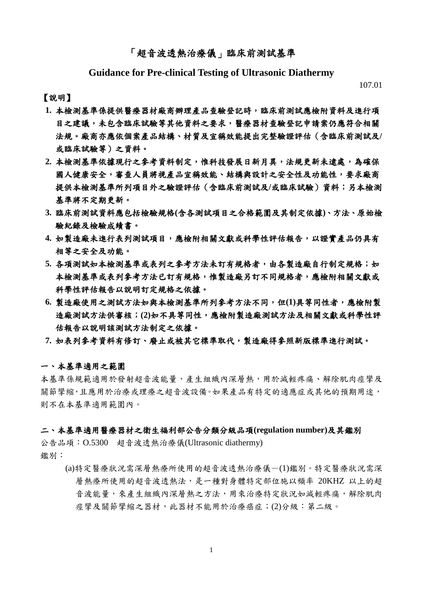## 「超音波透熱治療儀」臨床前測試基準

## **Guidance for Pre-clinical Testing of Ultrasonic Diathermy**

107.01

#### 【說明】

- **1.** 本檢測基準係提供醫療器材廠商辦理產品查驗登記時,臨床前測試應檢附資料及進行項 目之建議,未包含臨床試驗等其他資料之要求,醫療器材查驗登記申請案仍應符合相關 法規。廠商亦應依個案產品結構、材質及宣稱效能提出完整驗證評估(含臨床前測試及**/** 或臨床試驗等)之資料。
- 2. 本檢測基準依據現行之參考資料制定,惟科技發展日新月異,法規更新未逮處,為確保 國人健康安全,審查人員將視產品宣稱效能、結構與設計之安全性及功能性,要求廠商 提供本檢測基準所列項目外之驗證評估(含臨床前測試及**/**或臨床試驗)資料;另本檢測 基準將不定期更新。
- **3.** 臨床前測試資料應包括檢驗規格**(**含各測試項目之合格範圍及其制定依據**)**、方法、原始檢 驗紀錄及檢驗成績書。
- **4.** 如製造廠未進行表列測試項目,應檢附相關文獻或科學性評估報告,以證實產品仍具有 相等之安全及功能。
- 5. 各項測試如本檢測基準或表列之參考方法未訂有規格者,由各製造廠自行制定規格;如 本檢測基準或表列參考方法已訂有規格,惟製造廠另訂不同規格者,應檢附相關文獻或 科學性評估報告以說明訂定規格之依據。
- **6.** 製造廠使用之測試方法如與本檢測基準所列參考方法不同,但**(1)**具等同性者,應檢附製 造廠測試方法供審核;**(2)**如不具等同性,應檢附製造廠測試方法及相關文獻或科學性評 估報告以說明該測試方法制定之依據。
- **7.** 如表列參考資料有修訂、廢止或被其它標準取代,製造廠得參照新版標準進行測試。

#### 一、本基準適用之範圍

本基準係規範適用於發射超音波能量,產生組織內深層熱,用於減輕疼痛、解除肌肉痙攣及 關節攣縮,且應用於治療或理療之超音波設備。如果產品有特定的適應症或其他的預期用途, 則不在本基準適用範圍內。

#### 二、本基準適用醫療器材之衛生福利部公告分類分級品項**(regulation number)**及其鑑別

公告品項:O.5300 超音波透熱治療儀(Ultrasonic diathermy) 鑑別:

> (a)特定醫療狀況需深層熱療所使用的超音波透熱治療儀-(1)鑑別。特定醫療狀況需深 層熱療所使用的超音波透熱法,是一種對身體特定部位施以頻率 20KHZ 以上的超 音波能量,來產生組織內深層熱之方法,用來治療特定狀況如減輕疼痛,解除肌肉 痙攣及關節攣縮之器材,此器材不能用於治療癌症;(2)分級:第二級。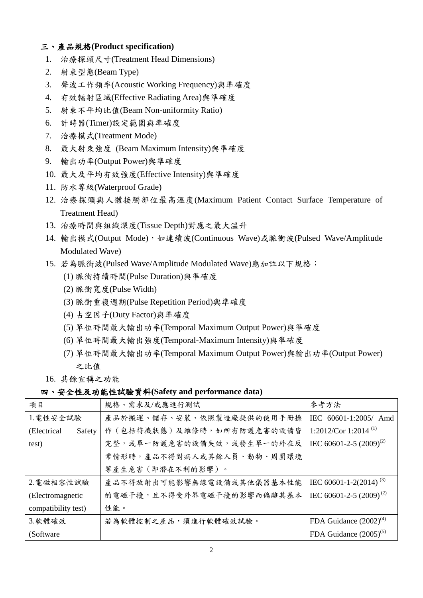## 三、產品規格**(Product specification)**

- 1. 治療探頭尺寸(Treatment Head Dimensions)
- 2. 射束型態(Beam Type)
- 3. 聲波工作頻率(Acoustic Working Frequency)與準確度
- 4. 有效輻射區域(Effective Radiating Area)與準確度
- 5. 射束不平均比值(Beam Non-uniformity Ratio)
- 6. 計時器(Timer)設定範圍與準確度
- 7. 治療模式(Treatment Mode)
- 8. 最大射束強度 (Beam Maximum Intensity)與準確度
- 9. 輸出功率(Output Power)與準確度
- 10. 最大及平均有效強度(Effective Intensity)與準確度
- 11. 防水等級(Waterproof Grade)
- 12. 治療探頭與人體接觸部位最高溫度(Maximum Patient Contact Surface Temperature of Treatment Head)
- 13. 治療時間與組織深度(Tissue Depth)對應之最大溫升
- 14. 輸出模式(Output Mode), 如連續波(Continuous Wave)或脈衝波(Pulsed Wave/Amplitude Modulated Wave)
- 15. 若為脈衝波(Pulsed Wave/Amplitude Modulated Wave)應加註以下規格:
	- (1) 脈衝持續時間(Pulse Duration)與準確度
	- (2) 脈衝寬度(Pulse Width)
	- (3) 脈衝重複週期(Pulse Repetition Period)與準確度
	- (4) 占空因子(Duty Factor)與準確度
	- (5) 單位時間最大輸出功率(Temporal Maximum Output Power)與準確度
	- (6) 單位時間最大輸出強度(Temporal-Maximum Intensity)與準確度
	- (7) 單位時間最大輸出功率(Temporal Maximum Output Power)與輸出功率(Output Power) 之比值
- 16. 其餘宣稱之功能

### 四、安全性及功能性試驗資料**(Safety and performance data)**

| 項目                     | 規格、需求及/或應進行測試             | 參考方法                                |  |
|------------------------|---------------------------|-------------------------------------|--|
| 1.電性安全試驗               | 產品於搬運、儲存、安裝、依照製造廠提供的使用手冊操 | IEC 60601-1:2005/ Amd               |  |
| (Electrical)<br>Safety | 作(包括待機狀態)及維修時,如所有防護危害的設備皆 | 1:2012/Cor 1:2014 <sup>(1)</sup>    |  |
| test)                  | 完整,或單一防護危害的設備失效,或發生單一的外在反 | IEC 60601-2-5 $(2009)^{(2)}$        |  |
|                        | 常情形時,產品不得對病人或其餘人員、動物、周圍環境 |                                     |  |
|                        | 等產生危害(即潛在不利的影響)。          |                                     |  |
| 2. 電磁相容性試驗             | 產品不得放射出可能影響無線電設備或其他儀器基本性能 | IEC 60601-1-2(2014) <sup>(3)</sup>  |  |
| (Electromagnetic       | 的電磁干擾,且不得受外界電磁干擾的影響而偏離其基本 | IEC 60601-2-5 (2009) <sup>(2)</sup> |  |
| compatibility test)    | 性能。                       |                                     |  |
| 3.軟體確效                 | 若為軟體控制之產品,須進行軟體確效試驗。      | FDA Guidance $(2002)^{(4)}$         |  |
| (Software)             |                           | FDA Guidance $(2005)^{(5)}$         |  |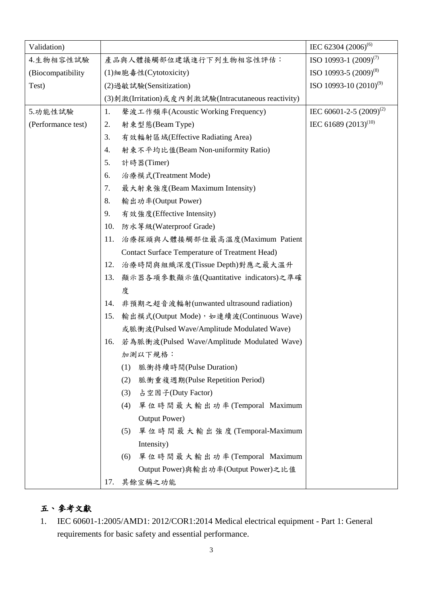| Validation)        |     |                                                       | IEC 62304 (2006) <sup>(6)</sup>     |
|--------------------|-----|-------------------------------------------------------|-------------------------------------|
| 4.生物相容性試驗          |     | 產品與人體接觸部位建議進行下列生物相容性評估:                               | ISO 10993-1 $(2009)^{(7)}$          |
| (Biocompatibility) |     | (1) 細胞毒性(Cytotoxicity)                                | ISO 10993-5 (2009) <sup>(8)</sup>   |
| Test)              |     | (2) 過敏試驗(Sensitization)                               | ISO 10993-10 $(2010)^{(9)}$         |
|                    |     | (3)刺激(Irritation)或皮內刺激試驗(Intracutaneous reactivity)   |                                     |
| 5.功能性試驗            | 1.  | 聲波工作頻率(Acoustic Working Frequency)                    | IEC 60601-2-5 (2009) <sup>(2)</sup> |
| (Performance test) | 2.  | 射束型態(Beam Type)                                       | IEC 61689 $(2013)^{(10)}$           |
|                    | 3.  | 有效輻射區域(Effective Radiating Area)                      |                                     |
|                    | 4.  | 射束不平均比值(Beam Non-uniformity Ratio)                    |                                     |
|                    | 5.  | 計時器(Timer)                                            |                                     |
|                    | 6.  | 治療模式(Treatment Mode)                                  |                                     |
|                    | 7.  | 最大射束強度(Beam Maximum Intensity)                        |                                     |
|                    | 8.  | 輸出功率(Output Power)                                    |                                     |
|                    | 9.  | 有效強度(Effective Intensity)                             |                                     |
|                    | 10. | 防水等級(Waterproof Grade)                                |                                     |
|                    | 11. | 治療探頭與人體接觸部位最高溫度(Maximum Patient                       |                                     |
|                    |     | <b>Contact Surface Temperature of Treatment Head)</b> |                                     |
|                    | 12. | 治療時間與組織深度(Tissue Depth)對應之最大溫升                        |                                     |
|                    | 13. | 顯示器各項參數顯示值(Quantitative indicators)之準確                |                                     |
|                    | 度   |                                                       |                                     |
|                    | 14. | 非預期之超音波輻射(unwanted ultrasound radiation)              |                                     |
|                    | 15. | 輸出模式(Output Mode), 如連續波(Continuous Wave)              |                                     |
|                    |     | 或脈衝波(Pulsed Wave/Amplitude Modulated Wave)            |                                     |
|                    | 16. | 若為脈衝波(Pulsed Wave/Amplitude Modulated Wave)           |                                     |
|                    |     | 加測以下規格:                                               |                                     |
|                    |     | 脈衝持續時間(Pulse Duration)<br>(1)                         |                                     |
|                    |     | 脈衝重複週期(Pulse Repetition Period)<br>(2)                |                                     |
|                    |     | 占空因子(Duty Factor)<br>(3)                              |                                     |
|                    |     | 單位時間最大輸出功率(Temporal Maximum<br>(4)                    |                                     |
|                    |     | Output Power)                                         |                                     |
|                    |     | 單位時間最大輸出強度(Temporal-Maximum<br>(5)                    |                                     |
|                    |     | Intensity)                                            |                                     |
|                    |     | 單位時間最大輸出功率(Temporal Maximum<br>(6)                    |                                     |
|                    |     | Output Power)與輸出功率(Output Power)之比值                   |                                     |
|                    | 17. | 其餘宣稱之功能                                               |                                     |

# 五、參考文獻

1. IEC 60601-1:2005/AMD1: 2012/COR1:2014 Medical electrical equipment - Part 1: General requirements for basic safety and essential performance.